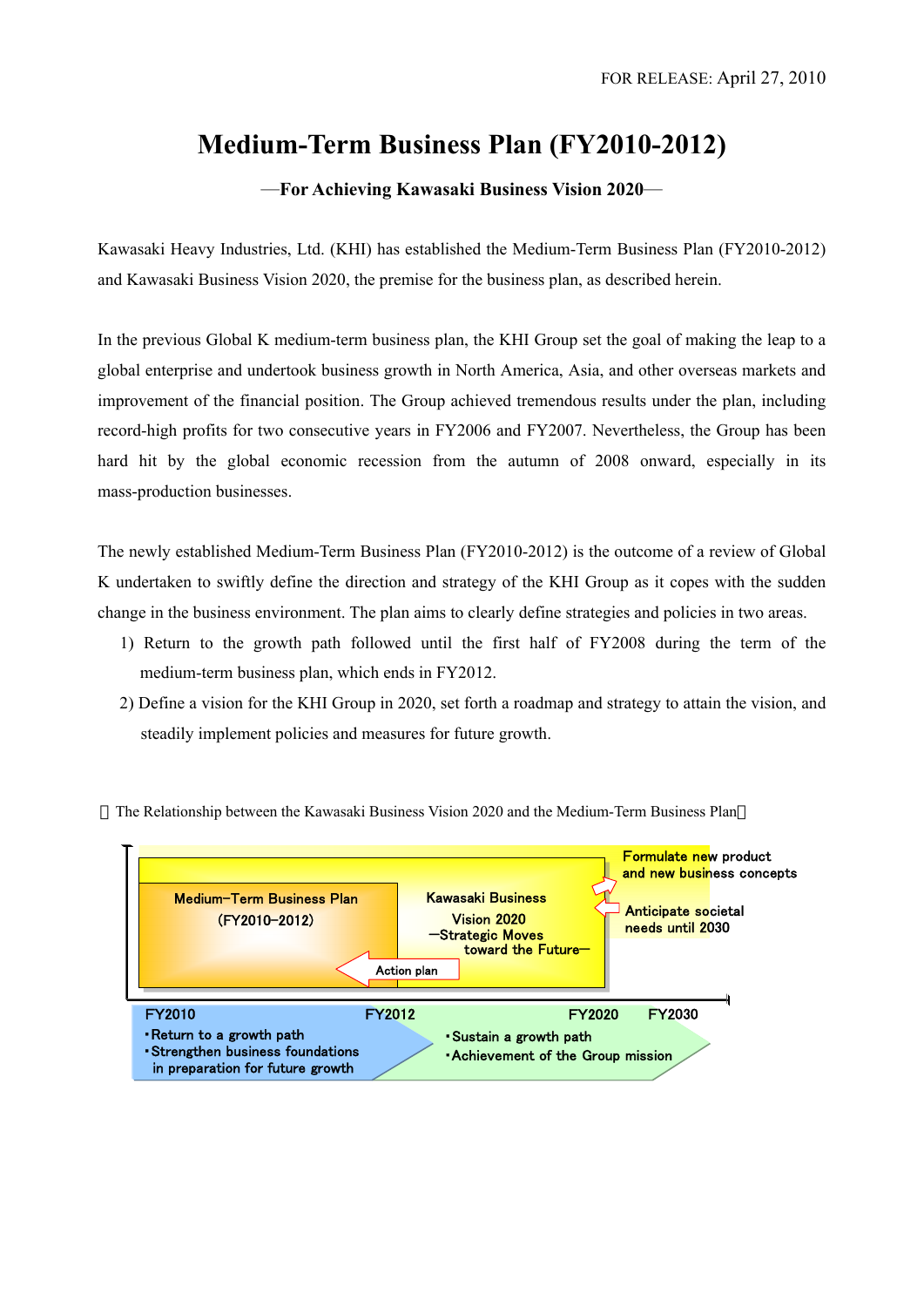# **Medium-Term Business Plan (FY2010-2012)**

—**For Achieving Kawasaki Business Vision 2020**—

Kawasaki Heavy Industries, Ltd. (KHI) has established the Medium-Term Business Plan (FY2010-2012) and Kawasaki Business Vision 2020, the premise for the business plan, as described herein.

In the previous Global K medium-term business plan, the KHI Group set the goal of making the leap to a global enterprise and undertook business growth in North America, Asia, and other overseas markets and improvement of the financial position. The Group achieved tremendous results under the plan, including record-high profits for two consecutive years in FY2006 and FY2007. Nevertheless, the Group has been hard hit by the global economic recession from the autumn of 2008 onward, especially in its mass-production businesses.

The newly established Medium-Term Business Plan (FY2010-2012) is the outcome of a review of Global K undertaken to swiftly define the direction and strategy of the KHI Group as it copes with the sudden change in the business environment. The plan aims to clearly define strategies and policies in two areas.

- 1) Return to the growth path followed until the first half of FY2008 during the term of the medium-term business plan, which ends in FY2012.
- 2) Define a vision for the KHI Group in 2020, set forth a roadmap and strategy to attain the vision, and steadily implement policies and measures for future growth.



The Relationship between the Kawasaki Business Vision 2020 and the Medium-Term Business Plan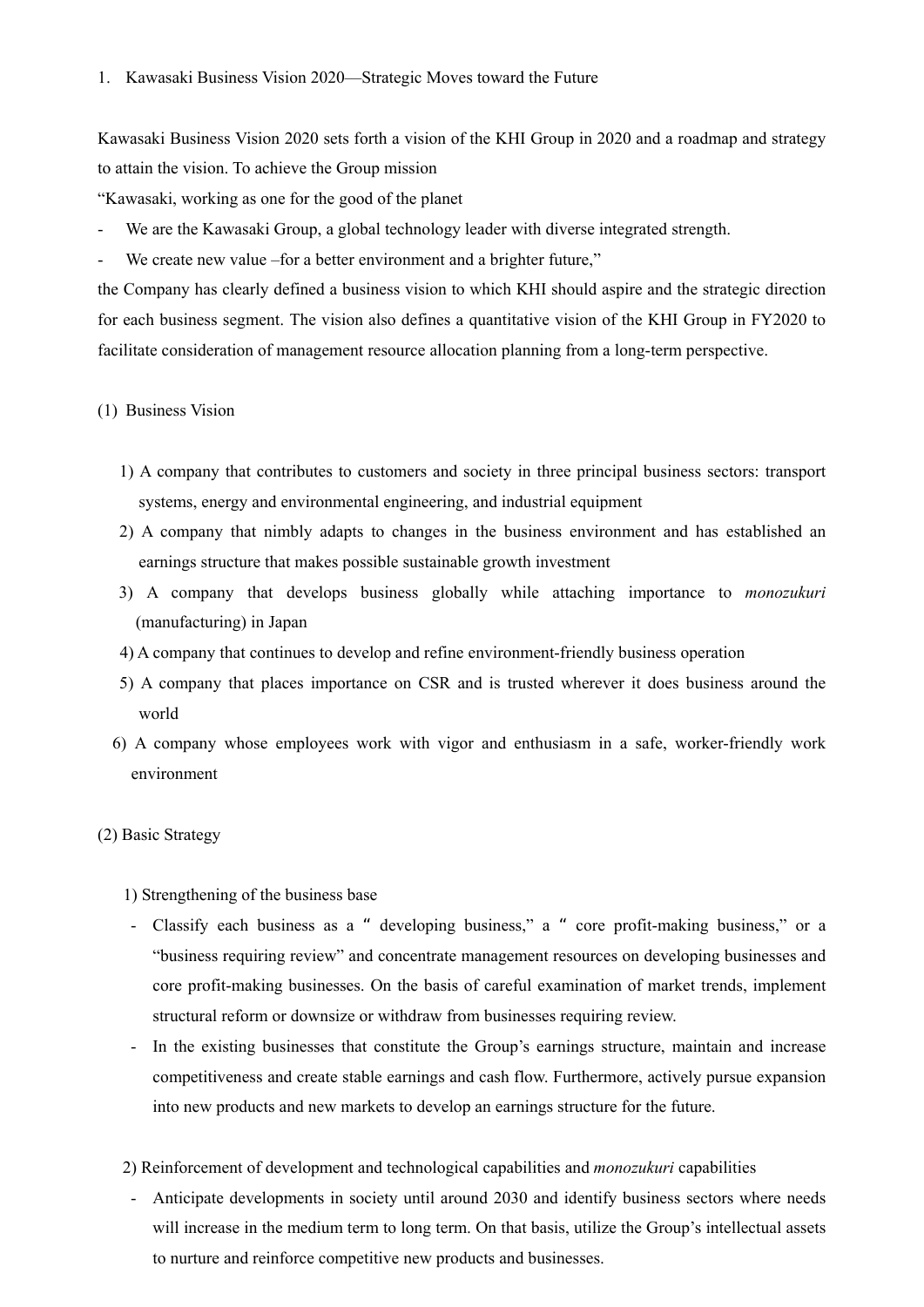Kawasaki Business Vision 2020 sets forth a vision of the KHI Group in 2020 and a roadmap and strategy to attain the vision. To achieve the Group mission

"Kawasaki, working as one for the good of the planet

- We are the Kawasaki Group, a global technology leader with diverse integrated strength.
- We create new value –for a better environment and a brighter future,"

the Company has clearly defined a business vision to which KHI should aspire and the strategic direction for each business segment. The vision also defines a quantitative vision of the KHI Group in FY2020 to facilitate consideration of management resource allocation planning from a long-term perspective.

### (1) Business Vision

- 1) A company that contributes to customers and society in three principal business sectors: transport systems, energy and environmental engineering, and industrial equipment
- 2) A company that nimbly adapts to changes in the business environment and has established an earnings structure that makes possible sustainable growth investment
- 3) A company that develops business globally while attaching importance to *monozukuri* (manufacturing) in Japan
- 4) A company that continues to develop and refine environment-friendly business operation
- 5) A company that places importance on CSR and is trusted wherever it does business around the world
- 6) A company whose employees work with vigor and enthusiasm in a safe, worker-friendly work environment

#### (2) Basic Strategy

- 1) Strengthening of the business base
- Classify each business as a " developing business," a " core profit-making business," or a "business requiring review" and concentrate management resources on developing businesses and core profit-making businesses. On the basis of careful examination of market trends, implement structural reform or downsize or withdraw from businesses requiring review.
- In the existing businesses that constitute the Group's earnings structure, maintain and increase competitiveness and create stable earnings and cash flow. Furthermore, actively pursue expansion into new products and new markets to develop an earnings structure for the future.
- 2) Reinforcement of development and technological capabilities and *monozukuri* capabilities
- Anticipate developments in society until around 2030 and identify business sectors where needs will increase in the medium term to long term. On that basis, utilize the Group's intellectual assets to nurture and reinforce competitive new products and businesses.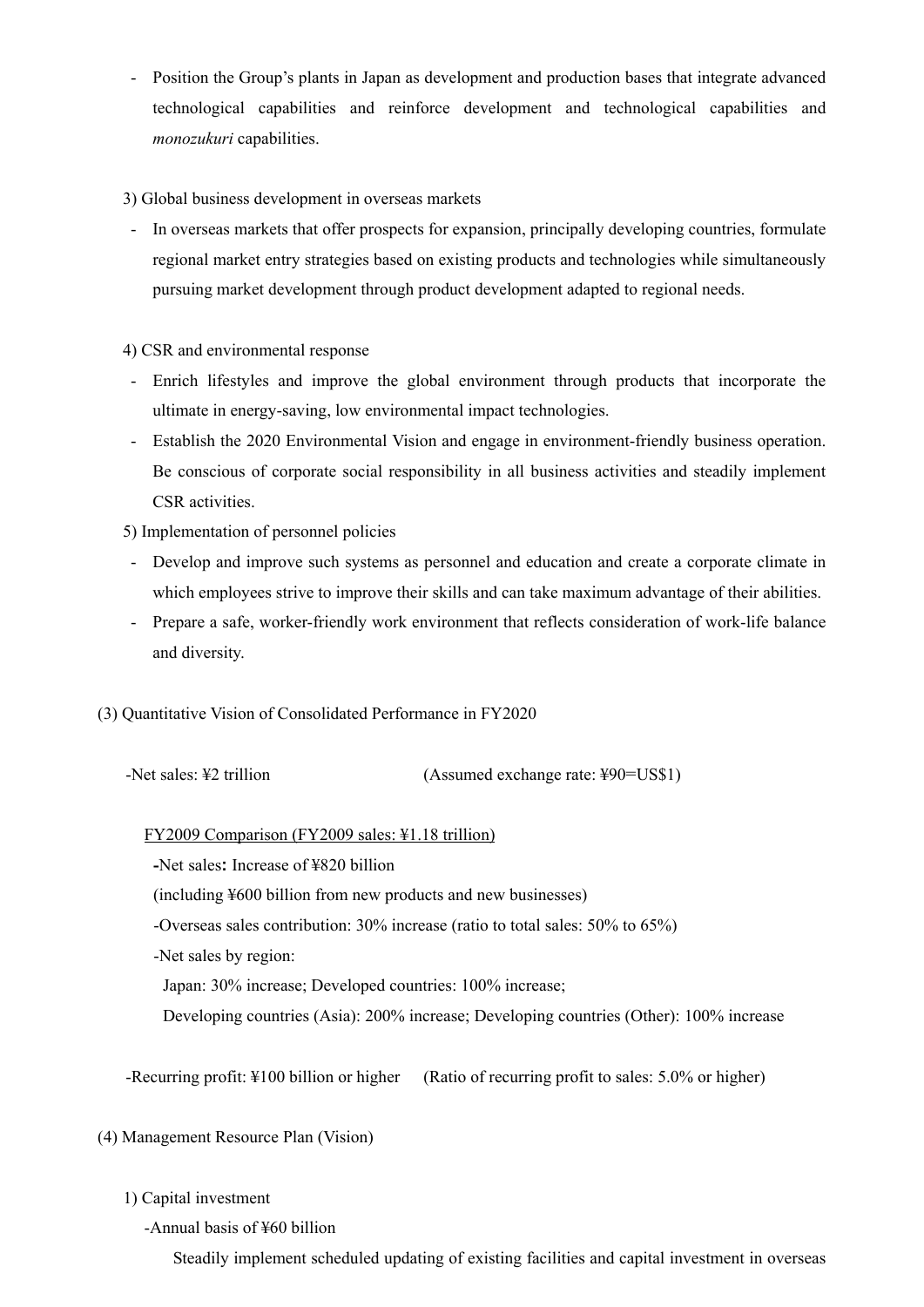- Position the Group's plants in Japan as development and production bases that integrate advanced technological capabilities and reinforce development and technological capabilities and *monozukuri* capabilities.

3) Global business development in overseas markets

- In overseas markets that offer prospects for expansion, principally developing countries, formulate regional market entry strategies based on existing products and technologies while simultaneously pursuing market development through product development adapted to regional needs.

# 4) CSR and environmental response

- Enrich lifestyles and improve the global environment through products that incorporate the ultimate in energy-saving, low environmental impact technologies.
- Establish the 2020 Environmental Vision and engage in environment-friendly business operation. Be conscious of corporate social responsibility in all business activities and steadily implement CSR activities.

5) Implementation of personnel policies

- Develop and improve such systems as personnel and education and create a corporate climate in which employees strive to improve their skills and can take maximum advantage of their abilities.
- Prepare a safe, worker-friendly work environment that reflects consideration of work-life balance and diversity.
- (3) Quantitative Vision of Consolidated Performance in FY2020

| -Net sales: \#2 trillion | (Assumed exchange rate: ¥90=US\$1) |
|--------------------------|------------------------------------|
|                          |                                    |

# FY2009 Comparison (FY2009 sales: ¥1.18 trillion)

**-**Net sales**:** Increase of ¥820 billion

(including ¥600 billion from new products and new businesses)

-Overseas sales contribution: 30% increase (ratio to total sales: 50% to 65%)

-Net sales by region:

Japan: 30% increase; Developed countries: 100% increase;

Developing countries (Asia): 200% increase; Developing countries (Other): 100% increase

-Recurring profit: ¥100 billion or higher (Ratio of recurring profit to sales: 5.0% or higher)

(4) Management Resource Plan (Vision)

# 1) Capital investment

-Annual basis of ¥60 billion

Steadily implement scheduled updating of existing facilities and capital investment in overseas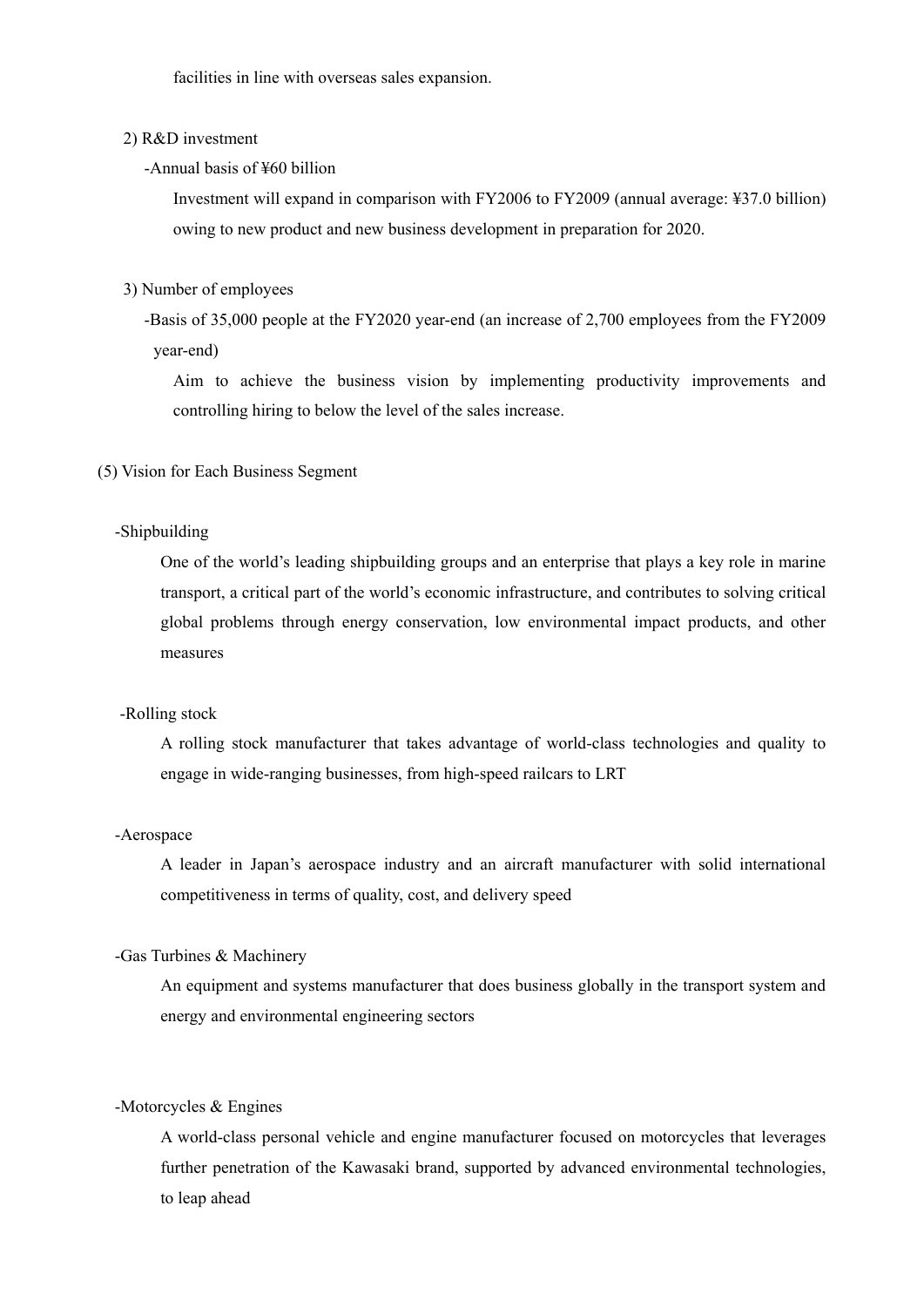facilities in line with overseas sales expansion.

## 2) R&D investment

## -Annual basis of ¥60 billion

Investment will expand in comparison with FY2006 to FY2009 (annual average: ¥37.0 billion) owing to new product and new business development in preparation for 2020.

# 3) Number of employees

-Basis of 35,000 people at the FY2020 year-end (an increase of 2,700 employees from the FY2009 year-end)

Aim to achieve the business vision by implementing productivity improvements and controlling hiring to below the level of the sales increase.

(5) Vision for Each Business Segment

# -Shipbuilding

One of the world's leading shipbuilding groups and an enterprise that plays a key role in marine transport, a critical part of the world's economic infrastructure, and contributes to solving critical global problems through energy conservation, low environmental impact products, and other measures

# -Rolling stock

A rolling stock manufacturer that takes advantage of world-class technologies and quality to engage in wide-ranging businesses, from high-speed railcars to LRT

#### -Aerospace

A leader in Japan's aerospace industry and an aircraft manufacturer with solid international competitiveness in terms of quality, cost, and delivery speed

### -Gas Turbines & Machinery

An equipment and systems manufacturer that does business globally in the transport system and energy and environmental engineering sectors

#### -Motorcycles & Engines

A world-class personal vehicle and engine manufacturer focused on motorcycles that leverages further penetration of the Kawasaki brand, supported by advanced environmental technologies, to leap ahead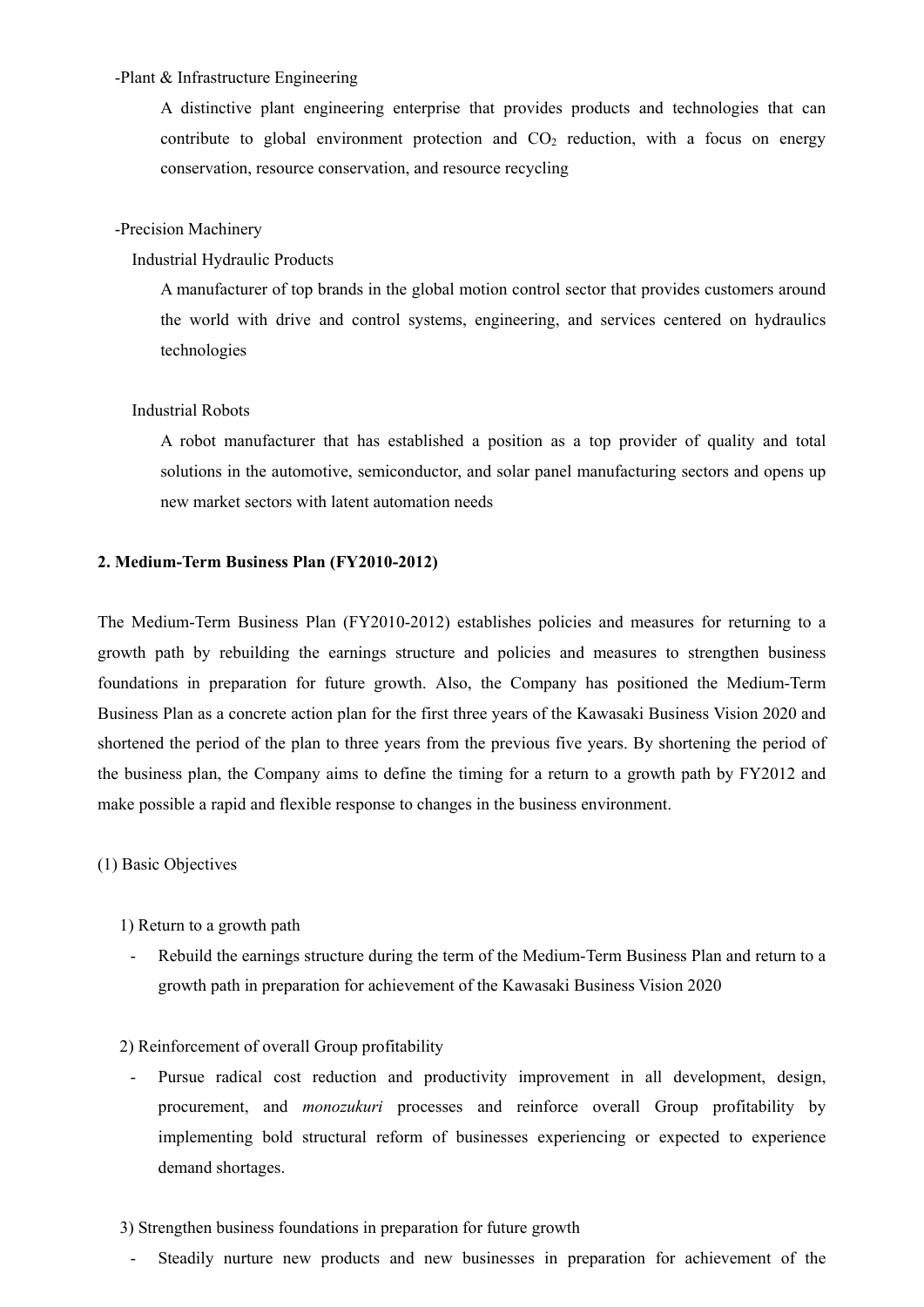# -Plant & Infrastructure Engineering

A distinctive plant engineering enterprise that provides products and technologies that can contribute to global environment protection and  $CO<sub>2</sub>$  reduction, with a focus on energy conservation, resource conservation, and resource recycling

#### -Precision Machinery

#### Industrial Hydraulic Products

A manufacturer of top brands in the global motion control sector that provides customers around the world with drive and control systems, engineering, and services centered on hydraulics technologies

#### Industrial Robots

A robot manufacturer that has established a position as a top provider of quality and total solutions in the automotive, semiconductor, and solar panel manufacturing sectors and opens up new market sectors with latent automation needs

#### **2. Medium-Term Business Plan (FY2010-2012)**

The Medium-Term Business Plan (FY2010-2012) establishes policies and measures for returning to a growth path by rebuilding the earnings structure and policies and measures to strengthen business foundations in preparation for future growth. Also, the Company has positioned the Medium-Term Business Plan as a concrete action plan for the first three years of the Kawasaki Business Vision 2020 and shortened the period of the plan to three years from the previous five years. By shortening the period of the business plan, the Company aims to define the timing for a return to a growth path by FY2012 and make possible a rapid and flexible response to changes in the business environment.

# (1) Basic Objectives

- 1) Return to a growth path
	- Rebuild the earnings structure during the term of the Medium-Term Business Plan and return to a growth path in preparation for achievement of the Kawasaki Business Vision 2020

# 2) Reinforcement of overall Group profitability

Pursue radical cost reduction and productivity improvement in all development, design, procurement, and *monozukuri* processes and reinforce overall Group profitability by implementing bold structural reform of businesses experiencing or expected to experience demand shortages.

#### 3) Strengthen business foundations in preparation for future growth

Steadily nurture new products and new businesses in preparation for achievement of the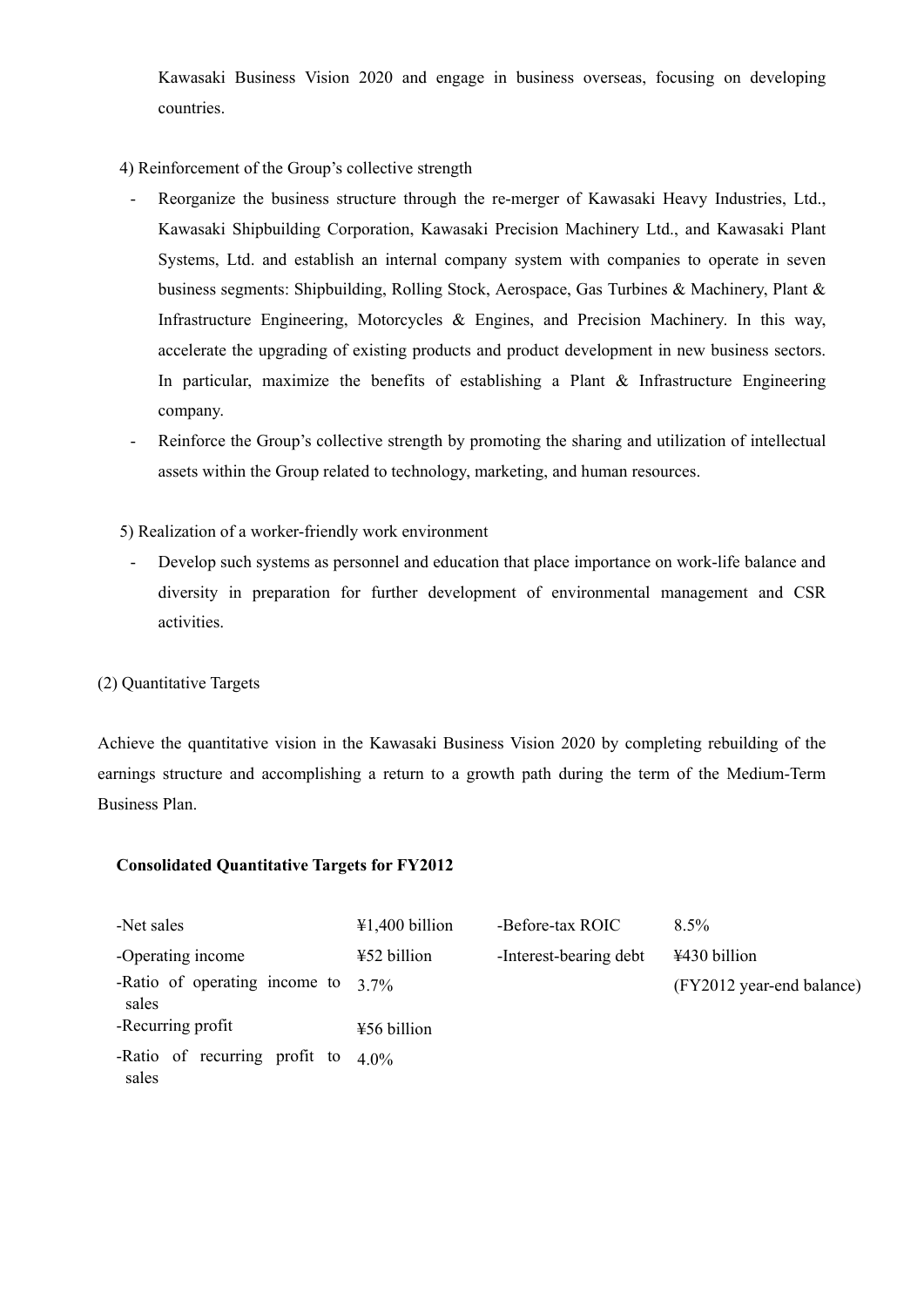Kawasaki Business Vision 2020 and engage in business overseas, focusing on developing countries.

4) Reinforcement of the Group's collective strength

- Reorganize the business structure through the re-merger of Kawasaki Heavy Industries, Ltd., Kawasaki Shipbuilding Corporation, Kawasaki Precision Machinery Ltd., and Kawasaki Plant Systems, Ltd. and establish an internal company system with companies to operate in seven business segments: Shipbuilding, Rolling Stock, Aerospace, Gas Turbines & Machinery, Plant & Infrastructure Engineering, Motorcycles & Engines, and Precision Machinery. In this way, accelerate the upgrading of existing products and product development in new business sectors. In particular, maximize the benefits of establishing a Plant & Infrastructure Engineering company.
- Reinforce the Group's collective strength by promoting the sharing and utilization of intellectual assets within the Group related to technology, marketing, and human resources.

5) Realization of a worker-friendly work environment

Develop such systems as personnel and education that place importance on work-life balance and diversity in preparation for further development of environmental management and CSR activities.

# (2) Quantitative Targets

Achieve the quantitative vision in the Kawasaki Business Vision 2020 by completing rebuilding of the earnings structure and accomplishing a return to a growth path during the term of the Medium-Term Business Plan.

# **Consolidated Quantitative Targets for FY2012**

| -Net sales                             | $41,400$ billion         | -Before-tax ROIC       | $8.5\%$                   |
|----------------------------------------|--------------------------|------------------------|---------------------------|
| -Operating income                      | ¥52 billion              | -Interest-bearing debt | ¥430 billion              |
| -Ratio of operating income to<br>sales | $3.7\%$                  |                        | (FY2012 year-end balance) |
| -Recurring profit                      | $\frac{1}{2}$ 56 billion |                        |                           |
| -Ratio of recurring profit to<br>sales | $4.0\%$                  |                        |                           |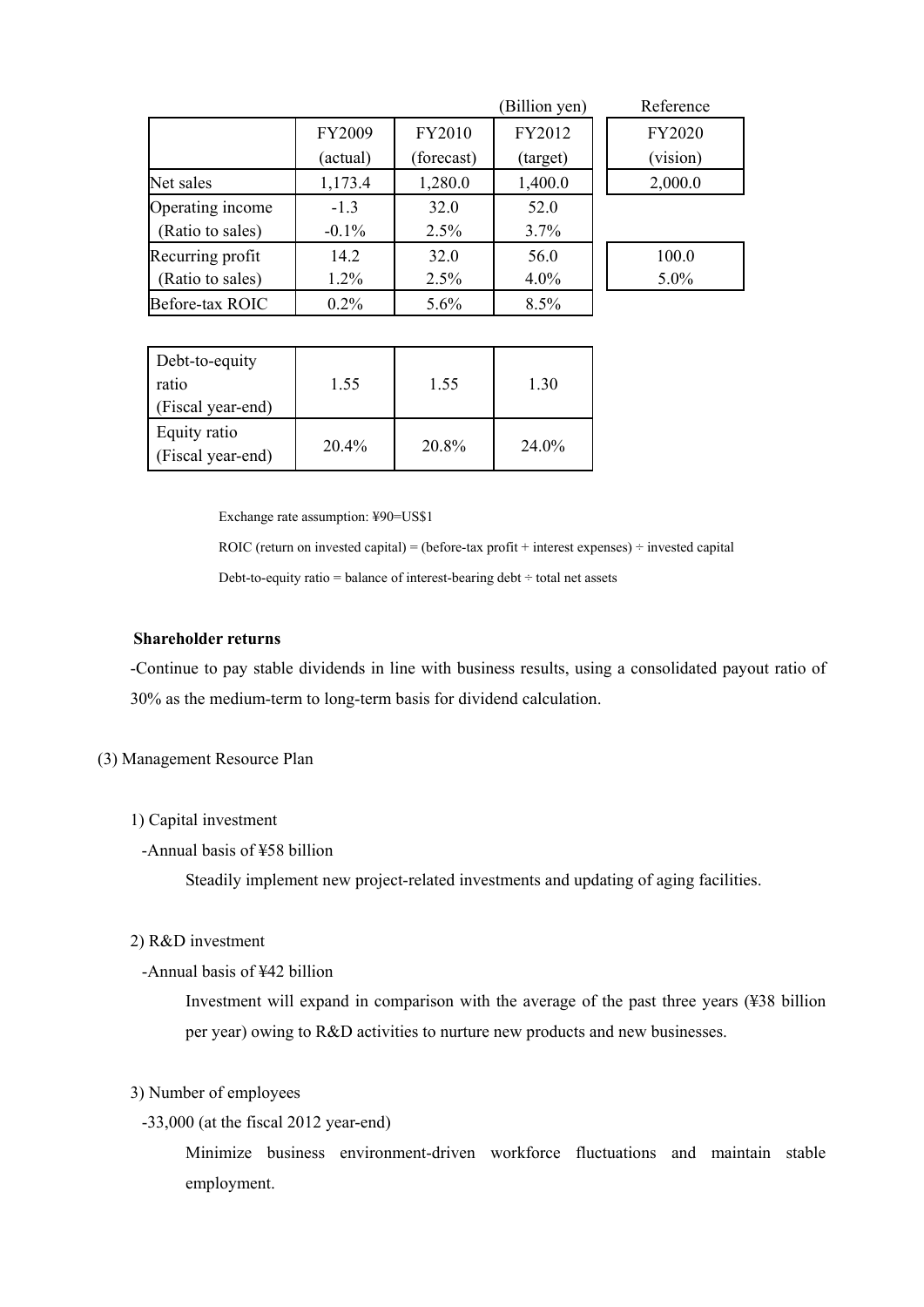|                  |               |            | (Billion yen) | Reference |
|------------------|---------------|------------|---------------|-----------|
|                  | <b>FY2009</b> | FY2010     | FY2012        | FY2020    |
|                  | (actual)      | (forecast) | (target)      | (vision)  |
| Net sales        | 1,173.4       | 1,280.0    | 1,400.0       | 2,000.0   |
| Operating income | $-1.3$        | 32.0       | 52.0          |           |
| (Ratio to sales) | $-0.1\%$      | 2.5%       | 3.7%          |           |
| Recurring profit | 14.2          | 32.0       | 56.0          | 100.0     |
| (Ratio to sales) | $1.2\%$       | 2.5%       | $4.0\%$       | $5.0\%$   |
| Before-tax ROIC  | $0.2\%$       | 5.6%       | 8.5%          |           |

| Debt-to-equity<br>ratio<br>(Fiscal year-end) | 1.55     | 1.55  | 1.30   |
|----------------------------------------------|----------|-------|--------|
| Equity ratio<br>(Fiscal year-end)            | $20.4\%$ | 20.8% | 24 0\% |

Exchange rate assumption: ¥90=US\$1

ROIC (return on invested capital) = (before-tax profit + interest expenses)  $\div$  invested capital

Debt-to-equity ratio = balance of interest-bearing debt  $\div$  total net assets

# **Shareholder returns**

-Continue to pay stable dividends in line with business results, using a consolidated payout ratio of 30% as the medium-term to long-term basis for dividend calculation.

## (3) Management Resource Plan

## 1) Capital investment

-Annual basis of ¥58 billion

Steadily implement new project-related investments and updating of aging facilities.

## 2) R&D investment

-Annual basis of ¥42 billion

Investment will expand in comparison with the average of the past three years (¥38 billion per year) owing to R&D activities to nurture new products and new businesses.

# 3) Number of employees

# -33,000 (at the fiscal 2012 year-end)

Minimize business environment-driven workforce fluctuations and maintain stable employment.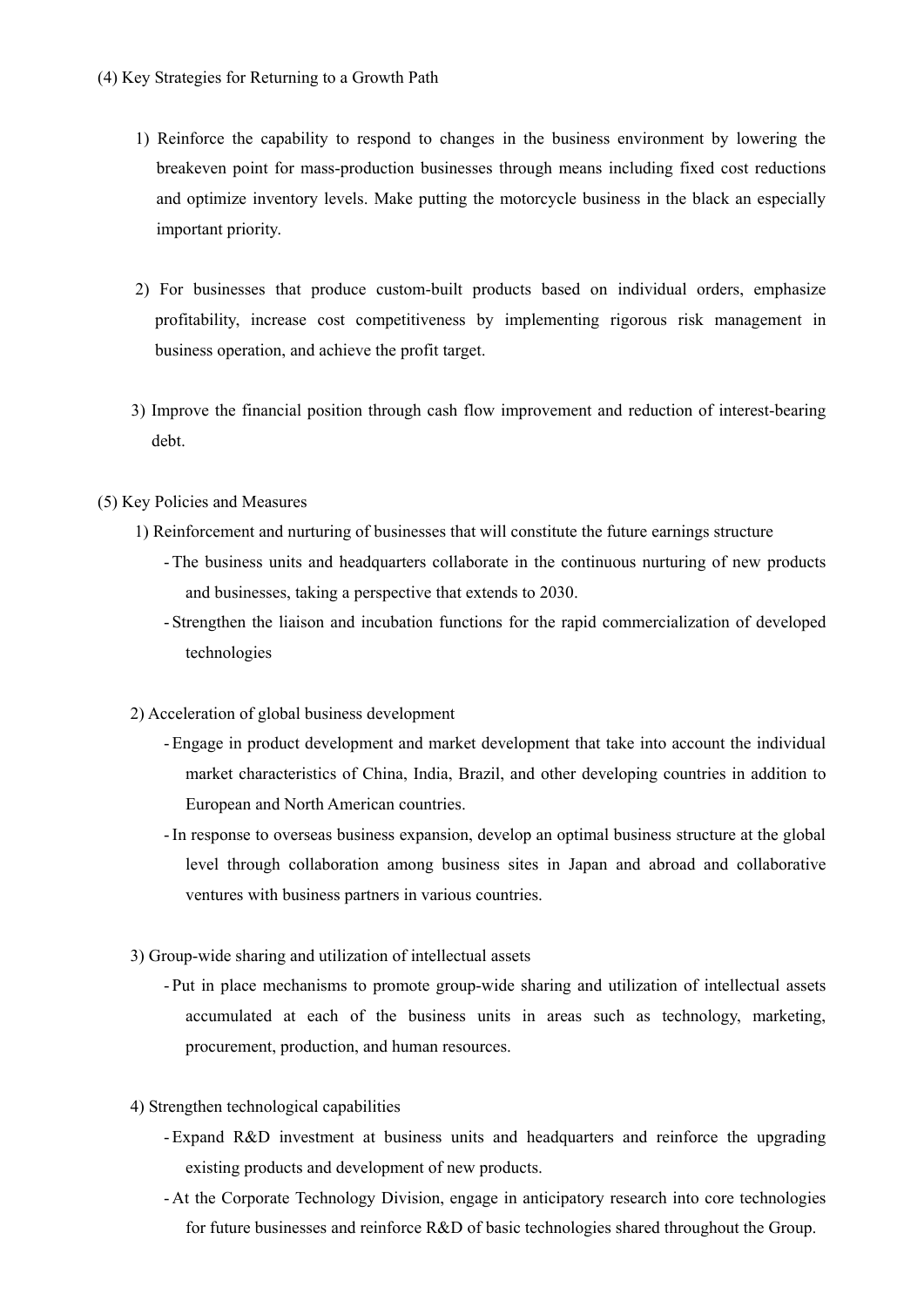- 1) Reinforce the capability to respond to changes in the business environment by lowering the breakeven point for mass-production businesses through means including fixed cost reductions and optimize inventory levels. Make putting the motorcycle business in the black an especially important priority.
- 2) For businesses that produce custom-built products based on individual orders, emphasize profitability, increase cost competitiveness by implementing rigorous risk management in business operation, and achieve the profit target.
- 3) Improve the financial position through cash flow improvement and reduction of interest-bearing debt.
- (5) Key Policies and Measures
	- 1) Reinforcement and nurturing of businesses that will constitute the future earnings structure
		- The business units and headquarters collaborate in the continuous nurturing of new products and businesses, taking a perspective that extends to 2030.
		- Strengthen the liaison and incubation functions for the rapid commercialization of developed technologies
	- 2) Acceleration of global business development
		- Engage in product development and market development that take into account the individual market characteristics of China, India, Brazil, and other developing countries in addition to European and North American countries.
		- -In response to overseas business expansion, develop an optimal business structure at the global level through collaboration among business sites in Japan and abroad and collaborative ventures with business partners in various countries.
	- 3) Group-wide sharing and utilization of intellectual assets
		- Put in place mechanisms to promote group-wide sharing and utilization of intellectual assets accumulated at each of the business units in areas such as technology, marketing, procurement, production, and human resources.
	- 4) Strengthen technological capabilities
		- Expand R&D investment at business units and headquarters and reinforce the upgrading existing products and development of new products.
		- At the Corporate Technology Division, engage in anticipatory research into core technologies for future businesses and reinforce R&D of basic technologies shared throughout the Group.